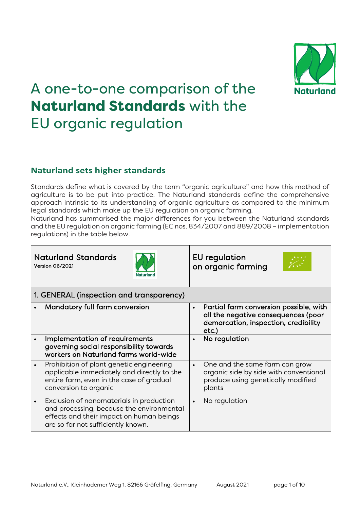

# A one-to-one comparison of the Naturland Standards with the EU organic regulation

# **Naturland sets higher standards**

Standards define what is covered by the term "organic agriculture" and how this method of agriculture is to be put into practice. The Naturland standards define the comprehensive approach intrinsic to its understanding of organic agriculture as compared to the minimum legal standards which make up the EU regulation on organic farming.

Naturland has summarised the major differences for you between the Naturland standards and the EU regulation on organic farming (EC nos. 834/2007 and 889/2008 – implementation regulations) in the table below.

|                                          | <b>Naturland Standards</b><br><b>Version 06/2021</b><br>Jaturland                                                                                                       | EU regulation<br>on organic farming                                                                                                            |
|------------------------------------------|-------------------------------------------------------------------------------------------------------------------------------------------------------------------------|------------------------------------------------------------------------------------------------------------------------------------------------|
| 1. GENERAL (inspection and transparency) |                                                                                                                                                                         |                                                                                                                                                |
|                                          | Mandatory full farm conversion                                                                                                                                          | Partial farm conversion possible, with<br>$\bullet$<br>all the negative consequences (poor<br>demarcation, inspection, credibility<br>$etc.$ ) |
|                                          | Implementation of requirements<br>governing social responsibility towards<br>workers on Naturland farms world-wide                                                      | No regulation<br>$\bullet$                                                                                                                     |
|                                          | Prohibition of plant genetic engineering<br>applicable immediately and directly to the<br>entire farm, even in the case of gradual<br>conversion to organic             | One and the same farm can grow<br>$\bullet$<br>organic side by side with conventional<br>produce using genetically modified<br>plants          |
|                                          | Exclusion of nanomaterials in production<br>and processing, because the environmental<br>effects and their impact on human beings<br>are so far not sufficiently known. | No regulation<br>$\bullet$                                                                                                                     |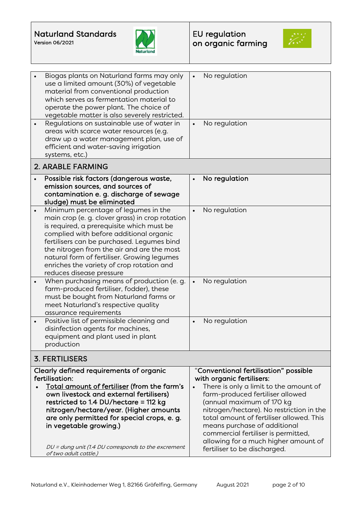



|                       | Biogas plants on Naturland farms may only<br>use a limited amount (30%) of vegetable<br>material from conventional production<br>which serves as fermentation material to<br>operate the power plant. The choice of<br>vegetable matter is also severely restricted.<br>Regulations on sustainable use of water in<br>areas with scarce water resources (e.g.<br>draw up a water management plan, use of<br>efficient and water-saving irrigation<br>systems, etc.) | $\bullet$<br>$\bullet$ | No regulation<br>No regulation                                                                                                                                                                                                                                                                                                                                                                                       |
|-----------------------|---------------------------------------------------------------------------------------------------------------------------------------------------------------------------------------------------------------------------------------------------------------------------------------------------------------------------------------------------------------------------------------------------------------------------------------------------------------------|------------------------|----------------------------------------------------------------------------------------------------------------------------------------------------------------------------------------------------------------------------------------------------------------------------------------------------------------------------------------------------------------------------------------------------------------------|
|                       | <b>2. ARABLE FARMING</b>                                                                                                                                                                                                                                                                                                                                                                                                                                            |                        |                                                                                                                                                                                                                                                                                                                                                                                                                      |
|                       | Possible risk factors (dangerous waste,<br>emission sources, and sources of<br>contamination e. g. discharge of sewage<br>sludge) must be eliminated                                                                                                                                                                                                                                                                                                                | $\bullet$              | No regulation                                                                                                                                                                                                                                                                                                                                                                                                        |
| $\bullet$             | Minimum percentage of legumes in the<br>main crop (e. g. clover grass) in crop rotation<br>is required, a prerequisite which must be<br>complied with before additional organic<br>fertilisers can be purchased. Legumes bind<br>the nitrogen from the air and are the most<br>natural form of fertiliser. Growing legumes<br>enriches the variety of crop rotation and<br>reduces disease pressure                                                                 | $\bullet$              | No regulation                                                                                                                                                                                                                                                                                                                                                                                                        |
|                       | When purchasing means of production (e. g.<br>farm-produced fertiliser, fodder), these<br>must be bought from Naturland farms or<br>meet Naturland's respective quality<br>assurance requirements                                                                                                                                                                                                                                                                   | $\bullet$              | No regulation                                                                                                                                                                                                                                                                                                                                                                                                        |
|                       | Positive list of permissible cleaning and<br>disinfection agents for machines,<br>equipment and plant used in plant<br>production                                                                                                                                                                                                                                                                                                                                   | $\bullet$              | No regulation                                                                                                                                                                                                                                                                                                                                                                                                        |
| <b>3. FERTILISERS</b> |                                                                                                                                                                                                                                                                                                                                                                                                                                                                     |                        |                                                                                                                                                                                                                                                                                                                                                                                                                      |
|                       | Clearly defined requirements of organic<br>fertilisation:<br>Total amount of fertiliser (from the farm's<br>own livestock and external fertilisers)<br>restricted to 1.4 DU/hectare = 112 kg<br>nitrogen/hectare/year. (Higher amounts<br>are only permitted for special crops, e. g.<br>in vegetable growing.)<br>DU = dung unit (1.4 DU corresponds to the excrement<br>of two adult cattle.)                                                                     |                        | "Conventional fertilisation" possible<br>with organic fertilisers:<br>There is only a limit to the amount of<br>farm-produced fertiliser allowed<br>(annual maximum of 170 kg<br>nitrogen/hectare). No restriction in the<br>total amount of fertiliser allowed. This<br>means purchase of additional<br>commercial fertiliser is permitted,<br>allowing for a much higher amount of<br>fertiliser to be discharged. |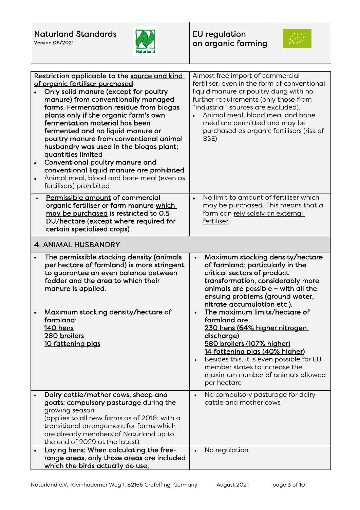



| Restriction applicable to the source and kind<br>of organic fertiliser purchased:<br>Only solid manure (except for poultry<br>manure) from conventionally managed<br>farms. Fermentation residue from biogas<br>plants only if the organic farm's own<br>fermentation material has been<br>fermented and no liquid manure or<br>poultry manure from conventional animal<br>husbandry was used in the biogas plant;<br>quantities limited<br>Conventional poultry manure and<br>$\bullet$<br>conventional liquid manure are prohibited | Almost free import of commercial<br>fertiliser, even in the form of conventional<br>liquid manure or poultry dung with no<br>further requirements (only those from<br>"industrial" sources are excluded).<br>Animal meal, blood meal and bone<br>meal are permitted and may be<br>purchased as organic fertilisers (risk of<br>BSE)                                                                                                                                                                                                                        |
|---------------------------------------------------------------------------------------------------------------------------------------------------------------------------------------------------------------------------------------------------------------------------------------------------------------------------------------------------------------------------------------------------------------------------------------------------------------------------------------------------------------------------------------|------------------------------------------------------------------------------------------------------------------------------------------------------------------------------------------------------------------------------------------------------------------------------------------------------------------------------------------------------------------------------------------------------------------------------------------------------------------------------------------------------------------------------------------------------------|
| Animal meal, blood and bone meal (even as<br>$\bullet$<br>fertilisers) prohibited<br>Permissible amount of commercial<br>$\bullet$<br>organic fertiliser or farm manure which<br>may be purchased is restricted to 0.5<br>DU/hectare (except where required for<br>certain specialised crops)                                                                                                                                                                                                                                         | No limit to amount of fertiliser which<br>$\bullet$<br>may be purchased. This means that a<br>farm can rely solely on external<br>fertiliser                                                                                                                                                                                                                                                                                                                                                                                                               |
| <b>4. ANIMAL HUSBANDRY</b>                                                                                                                                                                                                                                                                                                                                                                                                                                                                                                            |                                                                                                                                                                                                                                                                                                                                                                                                                                                                                                                                                            |
| The permissible stocking density (animals<br>$\bullet$<br>per hectare of farmland) is more stringent,<br>to guarantee an even balance between<br>fodder and the area to which their<br>manure is applied.<br>Maximum stocking density/hectare of<br>farmland:<br>140 hens<br>280 broilers<br>10 fattening pigs                                                                                                                                                                                                                        | Maximum stocking density/hectare<br>of farmland: particularly in the<br>critical sectors of product<br>transformation, considerably more<br>animals are possible - with all the<br>ensuing problems (ground water,<br>nitrate accumulation etc.).<br>The maximum limits/hectare of<br>farmland are:<br><u>230 hens (64% higher nitrogen</u><br>discharge)<br>580 broilers (107% higher)<br>14 fattening pigs (40% higher)<br>Besides this, it is even possible for EU<br>member states to increase the<br>maximum number of animals allowed<br>per hectare |
| Dairy cattle/mother cows, sheep and<br>goats: compulsory pasturage during the<br>growing season<br>(applies to all new farms as of 2018; with a<br>transitional arrangement for farms which<br>are already members of Naturland up to<br>the end of 2029 at the latest).                                                                                                                                                                                                                                                              | No compulsory pasturage for dairy<br>$\bullet$<br>cattle and mother cows                                                                                                                                                                                                                                                                                                                                                                                                                                                                                   |
| Laying hens: When calculating the free-                                                                                                                                                                                                                                                                                                                                                                                                                                                                                               | No regulation                                                                                                                                                                                                                                                                                                                                                                                                                                                                                                                                              |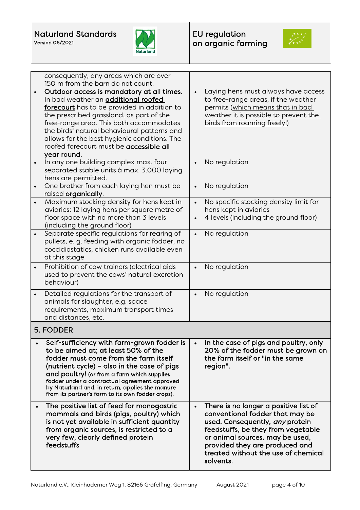



| $\bullet$ | consequently, any areas which are over<br>150 m from the barn do not count.<br>Outdoor access is mandatory at all times.<br>In bad weather an <b>additional roofed</b><br>forecourt has to be provided in addition to<br>the prescribed grassland, as part of the<br>free-range area. This both accommodates<br>the birds' natural behavioural patterns and<br>allows for the best hygienic conditions. The<br>roofed forecourt must be accessible all<br>year round. | Laying hens must always have access<br>to free-range areas, if the weather<br>permits (which means that in bad<br>weather it is possible to prevent the<br>birds from roaming freely!) |
|-----------|-----------------------------------------------------------------------------------------------------------------------------------------------------------------------------------------------------------------------------------------------------------------------------------------------------------------------------------------------------------------------------------------------------------------------------------------------------------------------|----------------------------------------------------------------------------------------------------------------------------------------------------------------------------------------|
|           | In any one building complex max. four<br>separated stable units à max. 3.000 laying<br>hens are permitted.                                                                                                                                                                                                                                                                                                                                                            | No regulation                                                                                                                                                                          |
| $\bullet$ | One brother from each laying hen must be<br>raised organically.                                                                                                                                                                                                                                                                                                                                                                                                       | No regulation                                                                                                                                                                          |
| $\bullet$ | Maximum stocking density for hens kept in<br>aviaries: 12 laying hens per square metre of<br>floor space with no more than 3 levels<br>(including the ground floor)                                                                                                                                                                                                                                                                                                   | No specific stocking density limit for<br>hens kept in aviaries<br>4 levels (including the ground floor)                                                                               |
| $\bullet$ | Separate specific regulations for rearing of<br>pullets, e. g. feeding with organic fodder, no<br>coccidiostatics, chicken runs available even<br>at this stage                                                                                                                                                                                                                                                                                                       | No regulation                                                                                                                                                                          |
|           | Prohibition of cow trainers (electrical aids<br>used to prevent the cows' natural excretion<br>behaviour)                                                                                                                                                                                                                                                                                                                                                             | No regulation                                                                                                                                                                          |
| $\bullet$ | Detailed regulations for the transport of<br>animals for slaughter, e.g. space<br>requirements, maximum transport times<br>and distances, etc.                                                                                                                                                                                                                                                                                                                        | No regulation                                                                                                                                                                          |
|           | 5. FODDER                                                                                                                                                                                                                                                                                                                                                                                                                                                             |                                                                                                                                                                                        |
|           | Self-sufficiency with farm-grown fodder is<br>to be aimed at; at least 50% of the<br>fodder must come from the farm itself<br>(nutrient cycle) - also in the case of pigs<br>and poultry! (or from a farm which supplies<br>fodder under a contractual agreement approved<br>by Naturland and, in return, applies the manure<br>from its partner's farm to its own fodder crops).                                                                                     | In the case of pigs and poultry, only<br>20% of the fodder must be grown on<br>the farm itself or "in the same<br>region".                                                             |
|           | The positive list of feed for monogastric                                                                                                                                                                                                                                                                                                                                                                                                                             | There is no longer a positive list of<br>conventional fodder that may be                                                                                                               |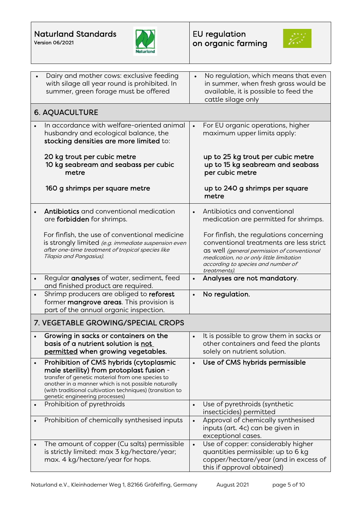



|           | Dairy and mother cows: exclusive feeding<br>with silage all year round is prohibited. In<br>summer, green forage must be offered                                                                                                                                                             |           | No regulation, which means that even<br>in summer, when fresh grass would be<br>available, it is possible to feed the<br>cattle silage only                                                                                         |  |
|-----------|----------------------------------------------------------------------------------------------------------------------------------------------------------------------------------------------------------------------------------------------------------------------------------------------|-----------|-------------------------------------------------------------------------------------------------------------------------------------------------------------------------------------------------------------------------------------|--|
|           | <b>6. AQUACULTURE</b>                                                                                                                                                                                                                                                                        |           |                                                                                                                                                                                                                                     |  |
|           | In accordance with welfare-oriented animal<br>husbandry and ecological balance, the<br>stocking densities are more limited to:                                                                                                                                                               | $\bullet$ | For EU organic operations, higher<br>maximum upper limits apply:                                                                                                                                                                    |  |
|           | 20 kg trout per cubic metre<br>10 kg seabream and seabass per cubic<br>metre                                                                                                                                                                                                                 |           | up to 25 kg trout per cubic metre<br>up to 15 kg seabream and seabass<br>per cubic metre                                                                                                                                            |  |
|           | 160 g shrimps per square metre                                                                                                                                                                                                                                                               |           | up to 240 g shrimps per square<br>metre                                                                                                                                                                                             |  |
|           | Antibiotics and conventional medication<br>are forbidden for shrimps.                                                                                                                                                                                                                        | $\bullet$ | Antibiotics and conventional<br>medication are permitted for shrimps.                                                                                                                                                               |  |
|           | For finfish, the use of conventional medicine<br>is strongly limited (e.g. immediate suspension even<br>after one-time treatment of tropical species like<br>Tilapia and Pangasius).                                                                                                         |           | For finfish, the regulations concerning<br>conventional treatments are less strict<br>as well (general permission of conventional<br>medication, no or only little limitation<br>according to species and number of<br>treatments). |  |
| $\bullet$ | Regular analyses of water, sediment, feed<br>and finished product are required.                                                                                                                                                                                                              | $\bullet$ | Analyses are not mandatory.                                                                                                                                                                                                         |  |
|           | Shrimp producers are obliged to reforest<br>former mangrove areas. This provision is<br>part of the annual organic inspection.                                                                                                                                                               | $\bullet$ | No regulation.                                                                                                                                                                                                                      |  |
|           | 7. VEGETABLE GROWING/SPECIAL CROPS                                                                                                                                                                                                                                                           |           |                                                                                                                                                                                                                                     |  |
|           | Growing in sacks or containers on the<br>basis of a nutrient solution is not<br>permitted when growing vegetables.                                                                                                                                                                           | $\bullet$ | It is possible to grow them in sacks or<br>other containers and feed the plants<br>solely on nutrient solution.                                                                                                                     |  |
|           | Prohibition of CMS hybrids (cytoplasmic<br>male sterility) from protoplast fusion -<br>transfer of genetic material from one species to<br>another in a manner which is not possible naturally<br>(with traditional cultivation techniques) (transition to<br>genetic engineering processes) | $\bullet$ | Use of CMS hybrids permissible                                                                                                                                                                                                      |  |
|           | Prohibition of pyrethroids                                                                                                                                                                                                                                                                   | $\bullet$ | Use of pyrethroids (synthetic<br>insecticides) permitted                                                                                                                                                                            |  |
| $\bullet$ | Prohibition of chemically synthesised inputs                                                                                                                                                                                                                                                 | $\bullet$ | Approval of chemically synthesised<br>inputs (art. 4c) can be given in<br>exceptional cases.                                                                                                                                        |  |
| $\bullet$ | The amount of copper (Cu salts) permissible<br>is strictly limited: max 3 kg/hectare/year;<br>max. 4 kg/hectare/year for hops.                                                                                                                                                               | $\bullet$ | Use of copper: considerably higher<br>quantities permissible: up to 6 kg<br>copper/hectare/year (and in excess of<br>this if approval obtained)                                                                                     |  |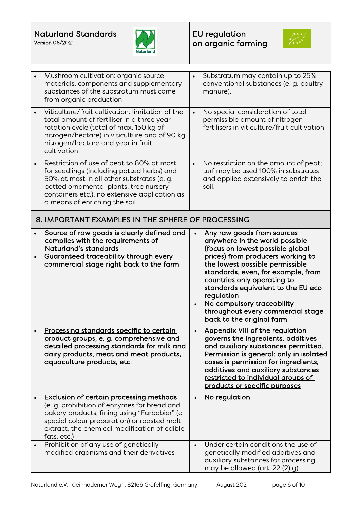



|           | Mushroom cultivation: organic source<br>materials, components and supplementary<br>substances of the substratum must come<br>from organic production                                                                                                              | $\bullet$ | Substratum may contain up to 25%<br>conventional substances (e. g. poultry<br>manure).                                                                                                                                                                                                                                                                                                             |
|-----------|-------------------------------------------------------------------------------------------------------------------------------------------------------------------------------------------------------------------------------------------------------------------|-----------|----------------------------------------------------------------------------------------------------------------------------------------------------------------------------------------------------------------------------------------------------------------------------------------------------------------------------------------------------------------------------------------------------|
|           | Viticulture/fruit cultivation: limitation of the<br>total amount of fertiliser in a three year<br>rotation cycle (total of max. 150 kg of<br>nitrogen/hectare) in viticulture and of 90 kg<br>nitrogen/hectare and year in fruit<br>cultivation                   | $\bullet$ | No special consideration of total<br>permissible amount of nitrogen<br>fertilisers in viticulture/fruit cultivation                                                                                                                                                                                                                                                                                |
| $\bullet$ | Restriction of use of peat to 80% at most<br>for seedlings (including potted herbs) and<br>50% at most in all other substrates (e. g.<br>potted ornamental plants, tree nursery<br>containers etc.), no extensive application as<br>a means of enriching the soil | $\bullet$ | No restriction on the amount of peat;<br>turf may be used 100% in substrates<br>and applied extensively to enrich the<br>soil.                                                                                                                                                                                                                                                                     |
|           | 8. IMPORTANT EXAMPLES IN THE SPHERE OF PROCESSING                                                                                                                                                                                                                 |           |                                                                                                                                                                                                                                                                                                                                                                                                    |
|           | Source of raw goods is clearly defined and<br>complies with the requirements of<br>Naturland's standards<br>Guaranteed traceability through every<br>commercial stage right back to the farm                                                                      |           | Any raw goods from sources<br>anywhere in the world possible<br>(focus on lowest possible global<br>prices) from producers working to<br>the lowest possible permissible<br>standards, even, for example, from<br>countries only operating to<br>standards equivalent to the EU eco-<br>regulation<br>No compulsory traceability<br>throughout every commercial stage<br>back to the original farm |
|           | Processing standards specific to certain<br>product groups, e. g. comprehensive and<br>detailed processing standards for milk and<br>dairy products, meat and meat products,<br>aquaculture products, etc.                                                        |           | Appendix VIII of the regulation<br>governs the ingredients, additives<br>and auxiliary substances permitted.<br>Permission is general: only in isolated<br>cases is permission for ingredients,<br>additives and auxiliary substances<br>restricted to individual groups of<br>products or specific purposes                                                                                       |
|           | Exclusion of certain processing methods<br>(e. g. prohibition of enzymes for bread and<br>bakery products, fining using "Farbebier" (a<br>special colour preparation) or roasted malt<br>extract, the chemical modification of edible<br>fats, etc.)              |           | No regulation                                                                                                                                                                                                                                                                                                                                                                                      |
|           | Prohibition of any use of genetically<br>modified organisms and their derivatives                                                                                                                                                                                 |           | Under certain conditions the use of<br>genetically modified additives and<br>auxiliary substances for processing<br>may be allowed (art. 22 (2) g)                                                                                                                                                                                                                                                 |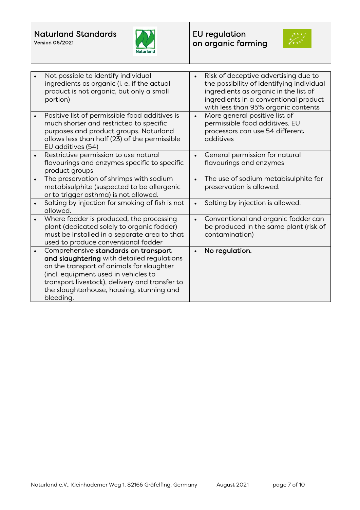



| Not possible to identify individual<br>ingredients as organic (i. e. if the actual<br>product is not organic, but only a small<br>portion)                                                                                                                                          | Risk of deceptive advertising due to<br>the possibility of identifying individual<br>ingredients as organic in the list of<br>ingredients in a conventional product<br>with less than 95% organic contents |
|-------------------------------------------------------------------------------------------------------------------------------------------------------------------------------------------------------------------------------------------------------------------------------------|------------------------------------------------------------------------------------------------------------------------------------------------------------------------------------------------------------|
| Positive list of permissible food additives is<br>much shorter and restricted to specific<br>purposes and product groups. Naturland<br>allows less than half (23) of the permissible<br>EU additives (54)                                                                           | More general positive list of<br>$\bullet$<br>permissible food additives. EU<br>processors can use 54 different<br>additives                                                                               |
| Restrictive permission to use natural<br>flavourings and enzymes specific to specific<br>product groups                                                                                                                                                                             | General permission for natural<br>flavourings and enzymes                                                                                                                                                  |
| The preservation of shrimps with sodium<br>metabisulphite (suspected to be allergenic<br>or to trigger asthma) is not allowed.                                                                                                                                                      | The use of sodium metabisulphite for<br>preservation is allowed.                                                                                                                                           |
| Salting by injection for smoking of fish is not<br>allowed.                                                                                                                                                                                                                         | Salting by injection is allowed.<br>$\bullet$                                                                                                                                                              |
| Where fodder is produced, the processing<br>plant (dedicated solely to organic fodder)<br>must be installed in a separate area to that<br>used to produce conventional fodder                                                                                                       | Conventional and organic fodder can<br>be produced in the same plant (risk of<br>contamination)                                                                                                            |
| Comprehensive standards on transport<br>and slaughtering with detailed regulations<br>on the transport of animals for slaughter<br>(incl. equipment used in vehicles to<br>transport livestock), delivery and transfer to<br>the slaughterhouse, housing, stunning and<br>bleeding. | No regulation.                                                                                                                                                                                             |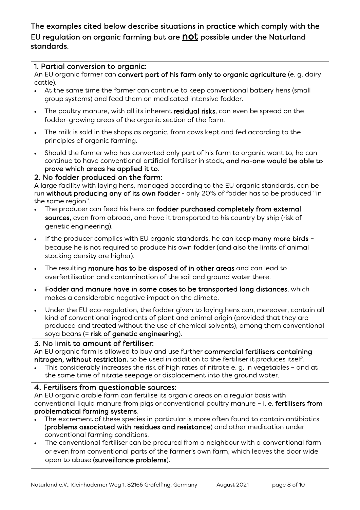The examples cited below describe situations in practice which comply with the EU regulation on organic farming but are not possible under the Naturland standards.

#### 1. Partial conversion to organic:

An EU organic farmer can convert part of his farm only to organic agriculture (e. g. dairy cattle).

- At the same time the farmer can continue to keep conventional battery hens (small group systems) and feed them on medicated intensive fodder.
- The poultry manure, with all its inherent residual risks, can even be spread on the fodder-growing areas of the organic section of the farm.
- The milk is sold in the shops as organic, from cows kept and fed according to the principles of organic farming.
- Should the farmer who has converted only part of his farm to organic want to, he can continue to have conventional artificial fertiliser in stock, and no-one would be able to prove which areas he applied it to.

#### 2. No fodder produced on the farm:

A large facility with laying hens, managed according to the EU organic standards, can be run without producing any of its own fodder - only 20% of fodder has to be produced "in the same region".

- The producer can feed his hens on fodder purchased completely from external sources, even from abroad, and have it transported to his country by ship (risk of genetic engineering).
- If the producer complies with EU organic standards, he can keep many more birds because he is not required to produce his own fodder (and also the limits of animal stocking density are higher).
- The resulting manure has to be disposed of in other areas and can lead to overfertilisation and contamination of the soil and ground water there.
- Fodder and manure have in some cases to be transported long distances, which makes a considerable negative impact on the climate.
- Under the EU eco-regulation, the fodder given to laying hens can, moreover, contain all kind of conventional ingredients of plant and animal origin (provided that they are produced and treated without the use of chemical solvents), among them conventional soya beans (= risk of genetic engineering).

## 3. No limit to amount of fertiliser:

An EU organic farm is allowed to buy and use further commercial fertilisers containing nitrogen, without restriction, to be used in addition to the fertiliser it produces itself.

This considerably increases the risk of high rates of nitrate e. g. in vegetables - and at the same time of nitrate seepage or displacement into the ground water.

## 4. Fertilisers from questionable sources:

An EU organic arable farm can fertilise its organic areas on a regular basis with conventional liquid manure from pigs or conventional poultry manure – i. e. fertilisers from problematical farming systems.

- The excrement of these species in particular is more often found to contain antibiotics (problems associated with residues and resistance) and other medication under conventional farming conditions.
- The conventional fertiliser can be procured from a neighbour with a conventional farm or even from conventional parts of the farmer's own farm, which leaves the door wide open to abuse (surveillance problems).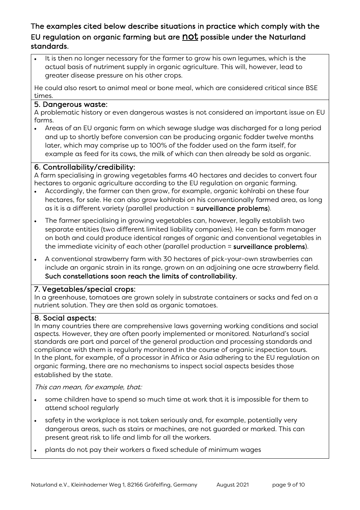## The examples cited below describe situations in practice which comply with the EU regulation on organic farming but are not possible under the Naturland standards.

It is then no longer necessary for the farmer to grow his own legumes, which is the actual basis of nutriment supply in organic agriculture. This will, however, lead to greater disease pressure on his other crops.

He could also resort to animal meal or bone meal, which are considered critical since BSE times.

#### 5. Dangerous waste:

A problematic history or even dangerous wastes is not considered an important issue on EU farms.

• Areas of an EU organic farm on which sewage sludge was discharged for a long period and up to shortly before conversion can be producing organic fodder twelve months later, which may comprise up to 100% of the fodder used on the farm itself, for example as feed for its cows, the milk of which can then already be sold as organic.

## 6. Controllability/credibility:

A farm specialising in growing vegetables farms 40 hectares and decides to convert four hectares to organic agriculture according to the EU regulation on organic farming.

- Accordingly, the farmer can then grow, for example, organic kohlrabi on these four hectares, for sale. He can also grow kohlrabi on his conventionally farmed area, as long as it is a different variety (parallel production = surveillance problems).
- The farmer specialising in growing vegetables can, however, legally establish two separate entities (two different limited liability companies). He can be farm manager on both and could produce identical ranges of organic and conventional vegetables in the immediate vicinity of each other (parallel production = surveillance problems).
- A conventional strawberry farm with 30 hectares of pick-your-own strawberries can include an organic strain in its range, grown on an adjoining one acre strawberry field. Such constellations soon reach the limits of controllability.

## 7. Vegetables/special crops:

In a greenhouse, tomatoes are grown solely in substrate containers or sacks and fed on a nutrient solution. They are then sold as organic tomatoes.

## 8. Social aspects:

In many countries there are comprehensive laws governing working conditions and social aspects. However, they are often poorly implemented or monitored. Naturland's social standards are part and parcel of the general production and processing standards and compliance with them is regularly monitored in the course of organic inspection tours. In the plant, for example, of a processor in Africa or Asia adhering to the EU regulation on organic farming, there are no mechanisms to inspect social aspects besides those established by the state.

This can mean, for example, that:

- some children have to spend so much time at work that it is impossible for them to attend school regularly
- safety in the workplace is not taken seriously and, for example, potentially very dangerous areas, such as stairs or machines, are not guarded or marked. This can present great risk to life and limb for all the workers.
- plants do not pay their workers a fixed schedule of minimum wages